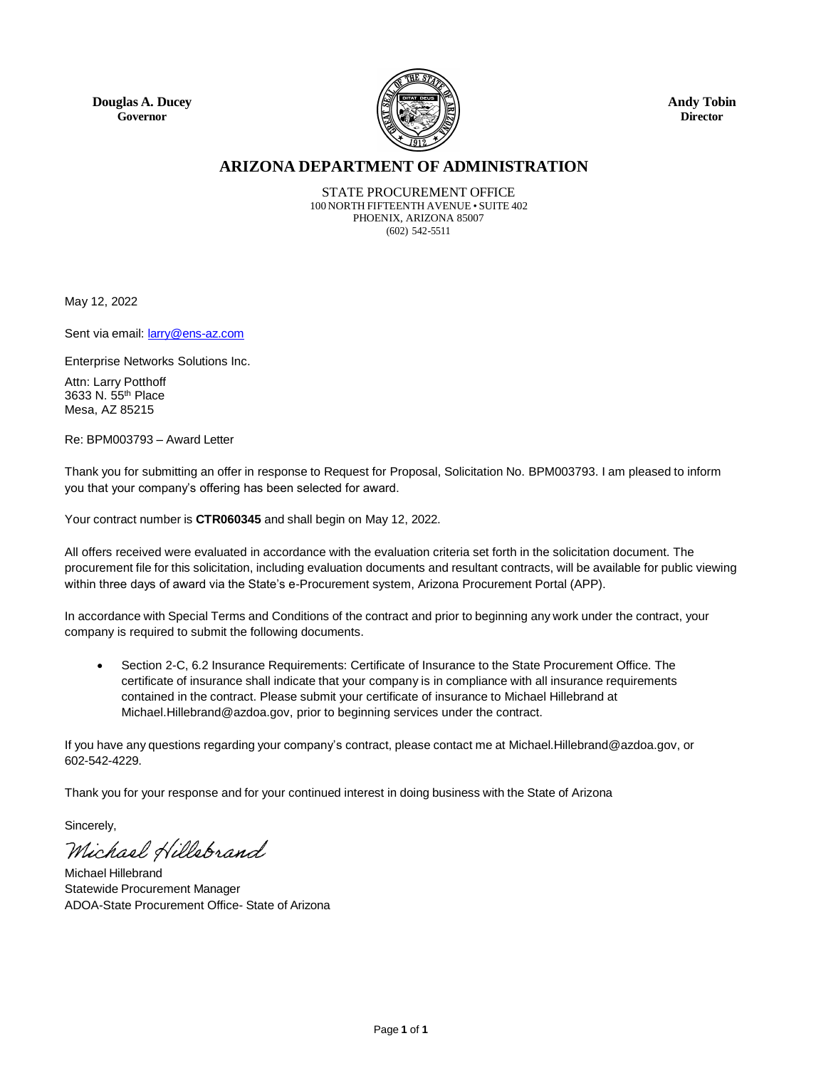**Douglas A. Ducey Governor**



**Andy Tobin Director**

## **ARIZONA DEPARTMENT OF ADMINISTRATION**

STATE PROCUREMENT OFFICE 100 NORTH FIFTEENTH AVENUE • SUITE 402 PHOENIX, ARIZONA 85007 (602) 542-5511

May 12, 2022

Sent via email: **[larry@ens-az.com](mailto:larry@ens-az.com)** 

Enterprise Networks Solutions Inc.

Attn: Larry Potthoff 3633 N. 55th Place Mesa, AZ 85215

Re: BPM003793 – Award Letter

Thank you for submitting an offer in response to Request for Proposal, Solicitation No. BPM003793. I am pleased to inform you that your company's offering has been selected for award.

Your contract number is **CTR060345** and shall begin on May 12, 2022.

All offers received were evaluated in accordance with the evaluation criteria set forth in the solicitation document. The procurement file for this solicitation, including evaluation documents and resultant contracts, will be available for public viewing within three days of award via the State's e-Procurement system, Arizona Procurement Portal (APP).

In accordance with Special Terms and Conditions of the contract and prior to beginning any work under the contract, your company is required to submit the following documents.

 Section 2-C, 6.2 Insurance Requirements: Certificate of Insurance to the State Procurement Office. The certificate of insurance shall indicate that your company is in compliance with all insurance requirements contained in the contract. Please submit your certificate of insurance to Michael Hillebrand at Michael.Hillebran[d@azdoa.gov,](mailto:james.atkins@azdoa.gov) prior to beginning services under the contract.

If you have any questions regarding your company's contract, please contact me at Michael.Hillebran[d@azdoa.gov,](mailto:james.atkins@azdoa.gov) or 602-542-4229.

Thank you for your response and for your continued interest in doing business with the State of Arizona

Sincerely,

Michael Hillebrand

Michael Hillebrand Statewide Procurement Manager ADOA-State Procurement Office- State of Arizona